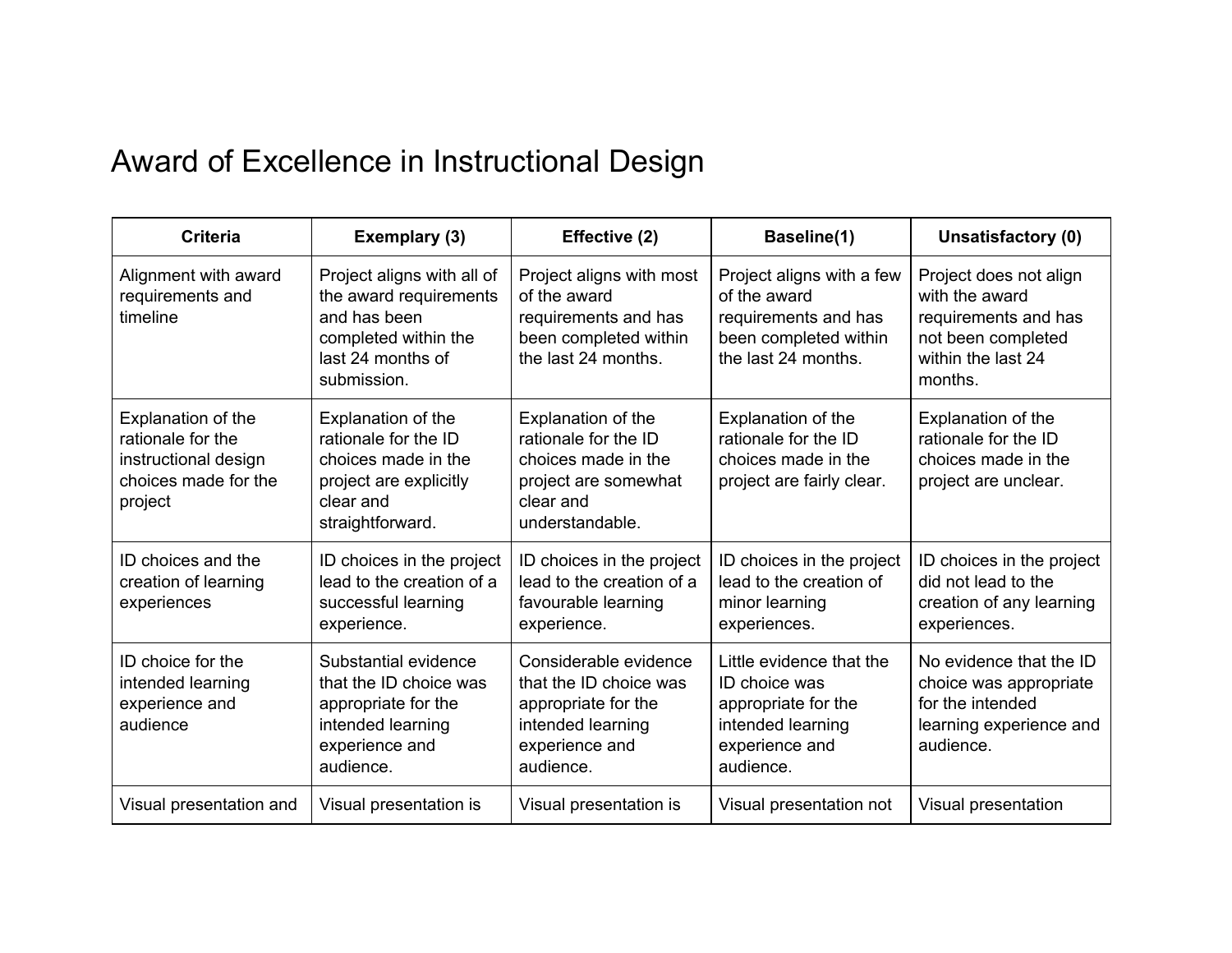## Award of Excellence in Instructional Design

| <b>Criteria</b>                                                                                    | Exemplary (3)                                                                                                                    | Effective (2)                                                                                                              | Baseline(1)                                                                                                          | Unsatisfactory (0)                                                                                                      |
|----------------------------------------------------------------------------------------------------|----------------------------------------------------------------------------------------------------------------------------------|----------------------------------------------------------------------------------------------------------------------------|----------------------------------------------------------------------------------------------------------------------|-------------------------------------------------------------------------------------------------------------------------|
| Alignment with award<br>requirements and<br>timeline                                               | Project aligns with all of<br>the award requirements<br>and has been<br>completed within the<br>last 24 months of<br>submission. | Project aligns with most<br>of the award<br>requirements and has<br>been completed within<br>the last 24 months.           | Project aligns with a few<br>of the award<br>requirements and has<br>been completed within<br>the last 24 months.    | Project does not align<br>with the award<br>requirements and has<br>not been completed<br>within the last 24<br>months. |
| Explanation of the<br>rationale for the<br>instructional design<br>choices made for the<br>project | Explanation of the<br>rationale for the ID<br>choices made in the<br>project are explicitly<br>clear and<br>straightforward.     | Explanation of the<br>rationale for the ID<br>choices made in the<br>project are somewhat<br>clear and<br>understandable.  | Explanation of the<br>rationale for the ID<br>choices made in the<br>project are fairly clear.                       | Explanation of the<br>rationale for the ID<br>choices made in the<br>project are unclear.                               |
| ID choices and the<br>creation of learning<br>experiences                                          | ID choices in the project<br>lead to the creation of a<br>successful learning<br>experience.                                     | ID choices in the project<br>lead to the creation of a<br>favourable learning<br>experience.                               | ID choices in the project<br>lead to the creation of<br>minor learning<br>experiences.                               | ID choices in the project<br>did not lead to the<br>creation of any learning<br>experiences.                            |
| ID choice for the<br>intended learning<br>experience and<br>audience                               | Substantial evidence<br>that the ID choice was<br>appropriate for the<br>intended learning<br>experience and<br>audience.        | Considerable evidence<br>that the ID choice was<br>appropriate for the<br>intended learning<br>experience and<br>audience. | Little evidence that the<br>ID choice was<br>appropriate for the<br>intended learning<br>experience and<br>audience. | No evidence that the ID<br>choice was appropriate<br>for the intended<br>learning experience and<br>audience.           |
| Visual presentation and                                                                            | Visual presentation is                                                                                                           | Visual presentation is                                                                                                     | Visual presentation not                                                                                              | Visual presentation                                                                                                     |